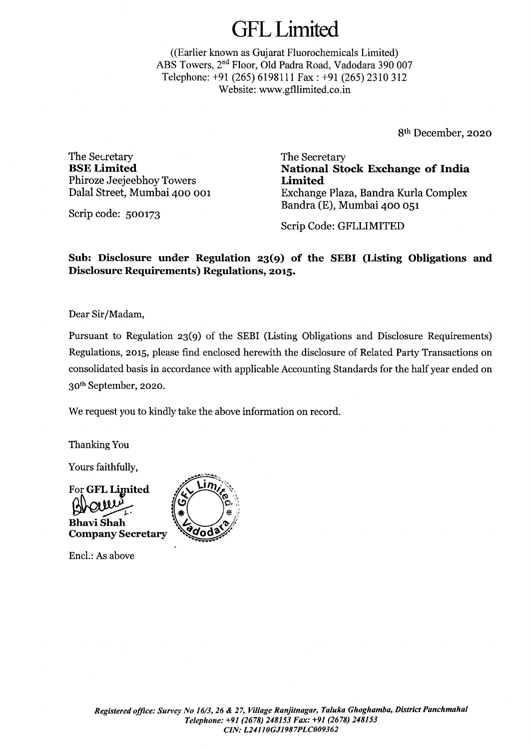((Earlier known as Gujarat Fluorochemicals Limited) ABS Towers, 2nd Floor, Old Padra Road, Vadodara 390 007 Telephone: +91 (265) 6198111 Fax: +91 (265) 2310 312 Website: www.gfllimited.co.in

8th December, 2020

The Secretary **BSELimited**  Phiroze Jeejeebhoy Towers Dalal Street, Mumbai 400 001

Scrip code: 500173

The Secretary **National Stock Exchange of India Limited**  Exchange Plaza, Bandra Kurla Complex Bandra (E), Mumbai 400 051

Scrip Code: GFLLIMITED

**Sub: Disclosure under Regulation 23(9) of the SEBI (Listing Obligations and Disclosure Requirements) Regulations, 2015.** 

Dear Sir/Madam,

Pursuant to Regulation 23(9) of the SEBI (Listing Obligations and Disclosure Requirements) Regulations, 2015, please find enclosed herewith the disclosure of Related Party Transactions on consolidated basis in accordance with applicable Accounting Standards for the half year ended on 30th September, 2020.

We request you to kindly take the above information on record.

Thanking You

Yours faithfully,



Encl.: As above

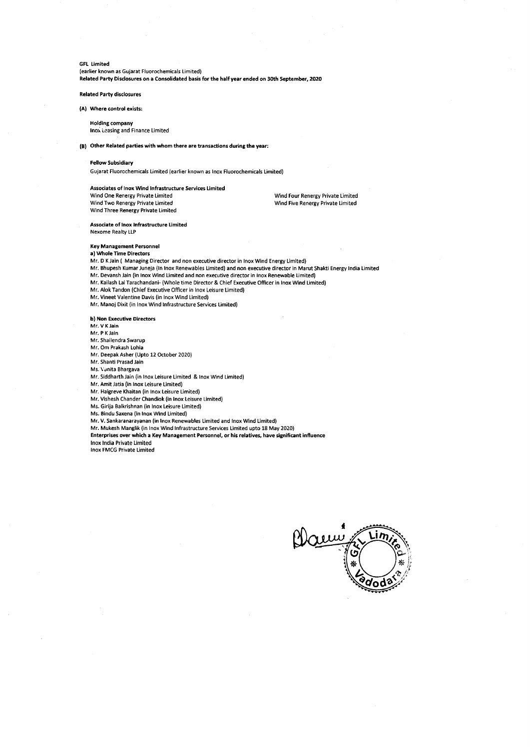(earlier known as Gujarat Fluorochemicals Limited) **Related Party Disclosures on a Consolidated basis for the half year ended on 30th September, 2020** 

#### **Related Party disclosures**

### **(A) Where control exists:**

**Holding company**  lnox Leasing and Finance Limited

### **(Bl Other Related parties with whom there are transactions during the year:**

### **Fellow Subsidiary**

Gujarat Fluorochemicals Limited (earlier known as lnox Fluorochemicals Limited)

### **Associates of lnox Wind Infrastructure Services Limited**  Wind One Renergy Private Limited Wind Two Renergy Private Limited Wind Three Renergy Private Limited

Wind Four Renergy Private Limited Wind Five Renergy Private Limited

**Associate of lnox Infrastructure Limited**  Nexome Realty LLP

# **Key Management Personnel**

#### **a) Whole Time Directors**

Mr. DK Jain ( Managing Director and non executive director in lnox Wind Energy Limited)

- Mr. Bhupesh Kumar Juneja (In lnox Renewables Limited) and non executive director in Ma rut Shakti Energy India Limited
- Mr. Devansh Jain (in lnox Wind Limited and non executive director in lnox Renewable Limited)
- Mr. Kailash Lal Tarachandani- (Whole time Director & Chief Executive Officer in lnox Wind Limited)
- Mr. Alok Tandon (Chief Executive Officer in lnox Leisure Limited)

Mr. Vineet Valentine Davis (in lnox Wind Limited)

Mr. Manoj Dixit (in lnox Wind Infrastructure Services Limited)

#### **b) Non Executive Directors**

Mr. V KJain

Mr. P KJain

Mr. Shailendra Swarup

Mr. Om Prakash Lohia

Mr. Deepak Asher (Upto 12 October 2020)

Mr. Shanti Prasad Jain

Ms. \'Jnita Bhargava

Mr. Siddharth Jain (in lnox Leisure Limited & lnox Wind Limited)

Mr. Amit Jatia (in lnox Leisure Limited)

Mr. Haigreve Khaitan (in lnox Leisure Limited)

Mr. Vishesh Chander Chandiok (in lnox Leisure Limited)

Ms. Girija Balkrishnan (in lnox Leisure Limited)

Ms. Bindu Saxena (in lnox Wind Limited)

Mr. V. Sankaranarayanan (in lnox Renewables Limited and lnox Wind Limited)

Mr. Mukesh Manglik (in lnox Wind Infrastructure Services Limited upto 18 May 2020)

Enterprises over which a Key Management Personnel, or his relatives, have significant influence

lnox India Private Limited lnox FMCG Private Limited

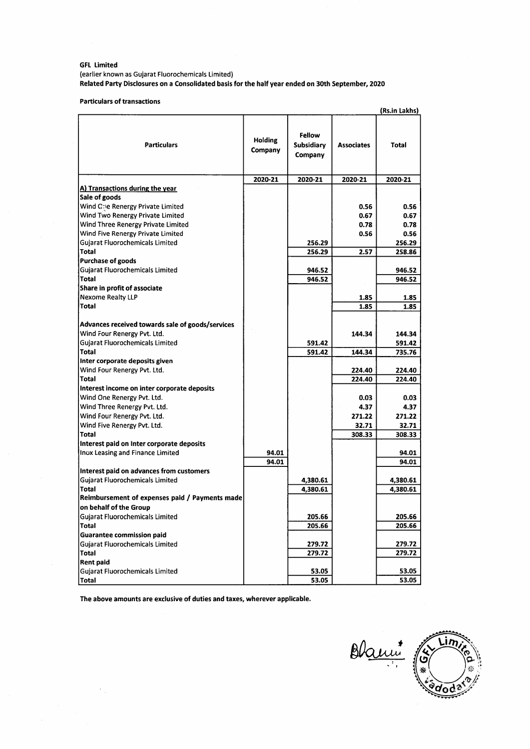(earlier known as Gujarat Fluorochemicals Limited) **Related Party Disclosures on a Consolidated basis for the half year ended on 30th September, 2020** 

**Particulars of transactions** 

|                                                  |                    |                                        |                   | (Rs.in Lakhs) |
|--------------------------------------------------|--------------------|----------------------------------------|-------------------|---------------|
| <b>Particulars</b>                               | Holding<br>Company | <b>Fellow</b><br>Subsidiary<br>Company | <b>Associates</b> | <b>Total</b>  |
|                                                  | 2020-21            | 2020-21                                | 2020-21           | 2020-21       |
| A) Transactions during the year                  |                    |                                        |                   |               |
| Sale of goods                                    |                    |                                        |                   |               |
| Wind Che Renergy Private Limited                 |                    |                                        | 0.56              | 0.56          |
| Wind Two Renergy Private Limited                 |                    |                                        | 0.67              | 0.67          |
| Wind Three Renergy Private Limited               |                    |                                        | 0.78              | 0.78          |
| Wind Five Renergy Private Limited                |                    |                                        | 0.56              | 0.56          |
| Gujarat Fluorochemicals Limited                  |                    | 256.29                                 |                   | 256.29        |
| <b>Total</b>                                     |                    | 256.29                                 | 2.57              | 258.86        |
| <b>Purchase of goods</b>                         |                    |                                        |                   |               |
| Gujarat Fluorochemicals Limited                  |                    | 946.52                                 |                   | 946.52        |
| <b>Total</b>                                     |                    | 946.52                                 |                   | 946.52        |
| Share in profit of associate                     |                    |                                        |                   |               |
| Nexome Realty LLP                                |                    |                                        | 1.85              | 1.85          |
| <b>Total</b>                                     |                    |                                        | 1.85              | 1.85          |
|                                                  |                    |                                        |                   |               |
| Advances received towards sale of goods/services |                    |                                        |                   |               |
| Wind Four Renergy Pvt. Ltd.                      |                    |                                        | 144.34            | 144.34        |
| Gujarat Fluorochemicals Limited                  |                    | 591.42                                 |                   | 591.42        |
| Total                                            |                    | 591.42                                 | 144.34            | 735.76        |
| Inter corporate deposits given                   |                    |                                        |                   |               |
| Wind Four Renergy Pvt. Ltd.                      |                    |                                        | 224.40            | 224.40        |
| Total                                            |                    |                                        | 224.40            | 224.40        |
| Interest income on inter corporate deposits      |                    |                                        |                   |               |
| Wind One Renergy Pvt. Ltd.                       |                    |                                        | 0.03              | 0.03          |
| Wind Three Renergy Pvt. Ltd.                     |                    |                                        | 4.37              | 4.37          |
| Wind Four Renergy Pvt. Ltd.                      |                    |                                        | 271.22            | 271.22        |
| Wind Five Renergy Pvt. Ltd.                      |                    |                                        | 32.71             | 32.71         |
| Total                                            |                    |                                        | 308.33            | 308.33        |
| Interest paid on Inter corporate deposits        |                    |                                        |                   |               |
| Inox Leasing and Finance Limited                 | 94.01              |                                        |                   | 94.01         |
|                                                  | 94.01              |                                        |                   | 94.01         |
| Interest paid on advances from customers         |                    |                                        |                   |               |
| <b>Gujarat Fluorochemicals Limited</b>           |                    | 4,380.61                               |                   | 4,380.61      |
| <b>Total</b>                                     |                    | 4,380.61                               |                   | 4,380.61      |
| Reimbursement of expenses paid / Payments made   |                    |                                        |                   |               |
| on behalf of the Group                           |                    |                                        |                   |               |
| Gujarat Fluorochemicals Limited                  |                    | 205.66                                 |                   | 205.66        |
| <b>Total</b>                                     |                    | 205.66                                 |                   | 205.66        |
| <b>Guarantee commission paid</b>                 |                    |                                        |                   |               |
| Gujarat Fluorochemicals Limited                  |                    | 279.72                                 |                   | 279.72        |
| <b>Total</b>                                     |                    | 279.72                                 |                   | 279.72        |
| <b>Rent paid</b>                                 |                    |                                        |                   |               |
| Gujarat Fluorochemicals Limited                  |                    | 53.05                                  |                   | 53.05         |
| <b>Total</b>                                     |                    | 53.05                                  |                   | 53.05         |

**The above amounts are exclusive of duties and taxes, wherever applicable.** 

 $\overline{V}_{\rm eff}$ 

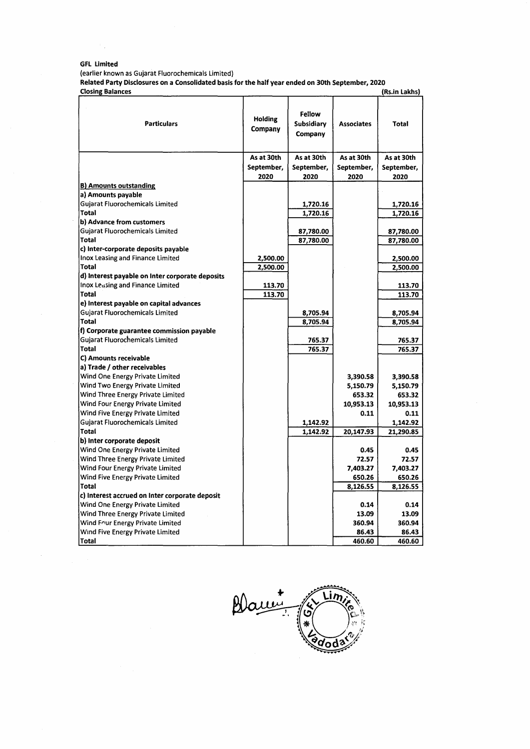(earlier known as Gujarat Fluorochemicals Limited)

**Related Party Disclosures on a Consolidated basis for the half year ended on 30th September, 2020** 

| <b>Closing Balances</b>                         |                           |                                 |                   | (Rs.in Lakhs) |
|-------------------------------------------------|---------------------------|---------------------------------|-------------------|---------------|
| <b>Particulars</b>                              | <b>Holding</b><br>Company | Fellow<br>Subsidiary<br>Company | <b>Associates</b> | <b>Total</b>  |
|                                                 | As at 30th                | As at 30th                      | As at 30th        | As at 30th    |
|                                                 | September,                | September,                      | September,        | September,    |
|                                                 | 2020                      | 2020                            | 2020              | 2020          |
| <b>B) Amounts outstanding</b>                   |                           |                                 |                   |               |
| a) Amounts payable                              |                           |                                 |                   |               |
| Gujarat Fluorochemicals Limited                 |                           | 1,720.16                        |                   | 1,720.16      |
| <b>Total</b>                                    |                           | 1,720.16                        |                   | 1,720.16      |
| b) Advance from customers                       |                           |                                 |                   |               |
| <b>Gujarat Fluorochemicals Limited</b>          |                           | 87,780.00                       |                   | 87,780.00     |
| Total                                           |                           | 87,780.00                       |                   | 87,780.00     |
| c) Inter-corporate deposits payable             |                           |                                 |                   |               |
| Inox Leasing and Finance Limited                | 2,500.00                  |                                 |                   | 2,500.00      |
| Total                                           | 2,500.00                  |                                 |                   | 2,500.00      |
| d) Interest payable on Inter corporate deposits |                           |                                 |                   |               |
| Inox Leasing and Finance Limited                | 113.70                    |                                 |                   | 113.70        |
| Total                                           | 113.70                    |                                 |                   | 113.70        |
| e) Interest payable on capital advances         |                           |                                 |                   |               |
| <b>Gujarat Fluorochemicals Limited</b>          |                           | 8,705.94                        |                   | 8,705.94      |
| Total                                           |                           | 8,705.94                        |                   | 8,705.94      |
| f) Corporate guarantee commission payable       |                           |                                 |                   |               |
| <b>Guiarat Fluorochemicals Limited</b>          |                           | 765.37                          |                   | 765.37        |
| <b>Total</b>                                    |                           | 765.37                          |                   | 765.37        |
| C) Amounts receivable                           |                           |                                 |                   |               |
| a) Trade / other receivables                    |                           |                                 |                   |               |
| Wind One Energy Private Limited                 |                           |                                 | 3,390.58          | 3,390.58      |
| Wind Two Energy Private Limited                 |                           |                                 | 5,150.79          | 5,150.79      |
| Wind Three Energy Private Limited               |                           |                                 | 653.32            | 653.32        |
| Wind Four Energy Private Limited                |                           |                                 | 10,953.13         | 10,953.13     |
| Wind Five Energy Private Limited                |                           |                                 | 0.11              | 0.11          |
| Gujarat Fluorochemicals Limited                 |                           | 1,142.92                        |                   | 1,142.92      |
| Total                                           |                           | 1,142.92                        | 20,147.93         | 21,290.85     |
| b) Inter corporate deposit                      |                           |                                 |                   |               |
| Wind One Energy Private Limited                 |                           |                                 | 0.45              | 0.45          |
| Wind Three Energy Private Limited               |                           |                                 | 72.57             | 72.57         |
| Wind Four Energy Private Limited                |                           |                                 | 7.403.27          | 7,403.27      |
| Wind Five Energy Private Limited                |                           |                                 | 650.26            | 650.26        |
| Total                                           |                           |                                 | 8,126.55          | 8,126.55      |
| c) Interest accrued on Inter corporate deposit  |                           |                                 |                   |               |
| Wind One Energy Private Limited                 |                           |                                 | 0.14              | 0.14          |
| Wind Three Energy Private Limited               |                           |                                 | 13.09             | 13.09         |
| Wind Four Energy Private Limited                |                           |                                 | 360.94            | 360.94        |
| Wind Five Energy Private Limited                |                           |                                 | 86.43             | 86.43         |
| Total                                           |                           |                                 | 460.60            | 460.60        |